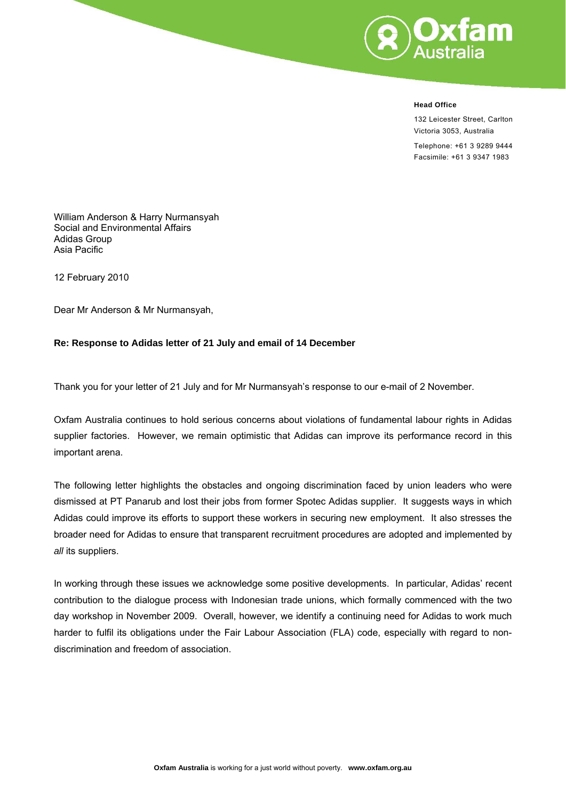

#### **Head Office**

132 Leicester Street, Carlton Victoria 3053, Australia

Telephone: +61 3 9289 9444 Facsimile: +61 3 9347 1983

William Anderson & Harry Nurmansyah Social and Environmental Affairs Adidas Group Asia Pacific

12 February 2010

Dear Mr Anderson & Mr Nurmansyah,

#### **Re: Response to Adidas letter of 21 July and email of 14 December**

Thank you for your letter of 21 July and for Mr Nurmansyah's response to our e-mail of 2 November.

Oxfam Australia continues to hold serious concerns about violations of fundamental labour rights in Adidas supplier factories. However, we remain optimistic that Adidas can improve its performance record in this important arena.

The following letter highlights the obstacles and ongoing discrimination faced by union leaders who were dismissed at PT Panarub and lost their jobs from former Spotec Adidas supplier. It suggests ways in which Adidas could improve its efforts to support these workers in securing new employment. It also stresses the broader need for Adidas to ensure that transparent recruitment procedures are adopted and implemented by *all* its suppliers.

In working through these issues we acknowledge some positive developments. In particular, Adidas' recent contribution to the dialogue process with Indonesian trade unions, which formally commenced with the two day workshop in November 2009. Overall, however, we identify a continuing need for Adidas to work much harder to fulfil its obligations under the Fair Labour Association (FLA) code, especially with regard to nondiscrimination and freedom of association.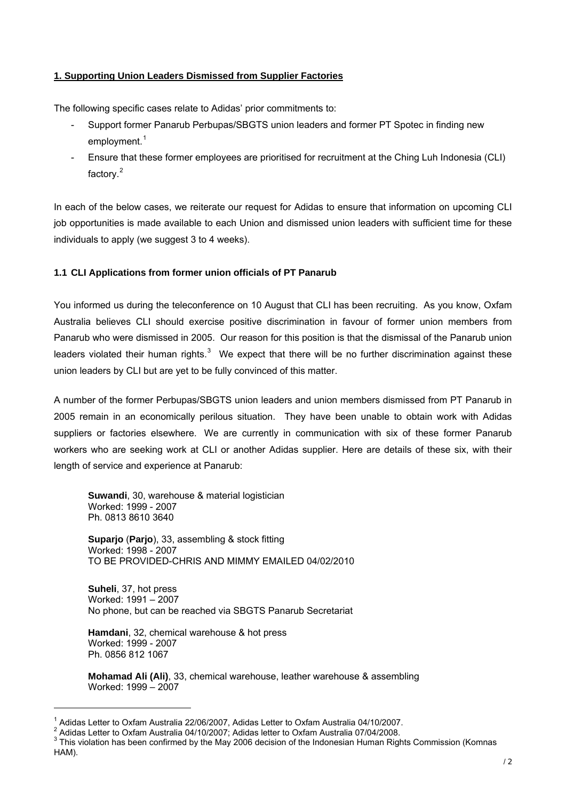## **1. Supporting Union Leaders Dismissed from Supplier Factories**

The following specific cases relate to Adidas' prior commitments to:

- Support former Panarub Perbupas/SBGTS union leaders and former PT Spotec in finding new employment.<sup>[1](#page-1-0)</sup>
- Ensure that these former employees are prioritised for recruitment at the Ching Luh Indonesia (CLI) factory.[2](#page-1-1)

In each of the below cases, we reiterate our request for Adidas to ensure that information on upcoming CLI job opportunities is made available to each Union and dismissed union leaders with sufficient time for these individuals to apply (we suggest 3 to 4 weeks).

## **1.1 CLI Applications from former union officials of PT Panarub**

You informed us during the teleconference on 10 August that CLI has been recruiting. As you know, Oxfam Australia believes CLI should exercise positive discrimination in favour of former union members from Panarub who were dismissed in 2005. Our reason for this position is that the dismissal of the Panarub union leaders violated their human rights. $3$  We expect that there will be no further discrimination against these union leaders by CLI but are yet to be fully convinced of this matter.

A number of the former Perbupas/SBGTS union leaders and union members dismissed from PT Panarub in 2005 remain in an economically perilous situation. They have been unable to obtain work with Adidas suppliers or factories elsewhere. We are currently in communication with six of these former Panarub workers who are seeking work at CLI or another Adidas supplier. Here are details of these six, with their length of service and experience at Panarub:

**Suwandi**, 30, warehouse & material logistician Worked: 1999 - 2007 Ph. 0813 8610 3640

**Suparjo** (**Parjo**), 33, assembling & stock fitting Worked: 1998 - 2007 TO BE PROVIDED-CHRIS AND MIMMY EMAILED 04/02/2010

**Suheli**, 37, hot press Worked: 1991 – 2007 No phone, but can be reached via SBGTS Panarub Secretariat

**Hamdani**, 32, chemical warehouse & hot press Worked: 1999 - 2007 Ph. 0856 812 1067

l

**Mohamad Ali (Ali)**, 33, chemical warehouse, leather warehouse & assembling Worked: 1999 – 2007

<span id="page-1-0"></span><sup>&</sup>lt;sup>1</sup> Adidas Letter to Oxfam Australia 22/06/2007, Adidas Letter to Oxfam Australia 04/10/2007.<br><sup>2</sup> Adidas Letter to Oxfam Australia 04/10/2007; Adidas letter to Oxfam Australia 07/04/2008.

<span id="page-1-1"></span><sup>&</sup>lt;sup>2</sup> Adidas Letter to Oxfam Australia 04/10/2007; Adidas letter to Oxfam Australia 07/04/2008.

<span id="page-1-2"></span> $3$  This violation has been confirmed by the May 2006 decision of the Indonesian Human Rights Commission (Komnas HAM).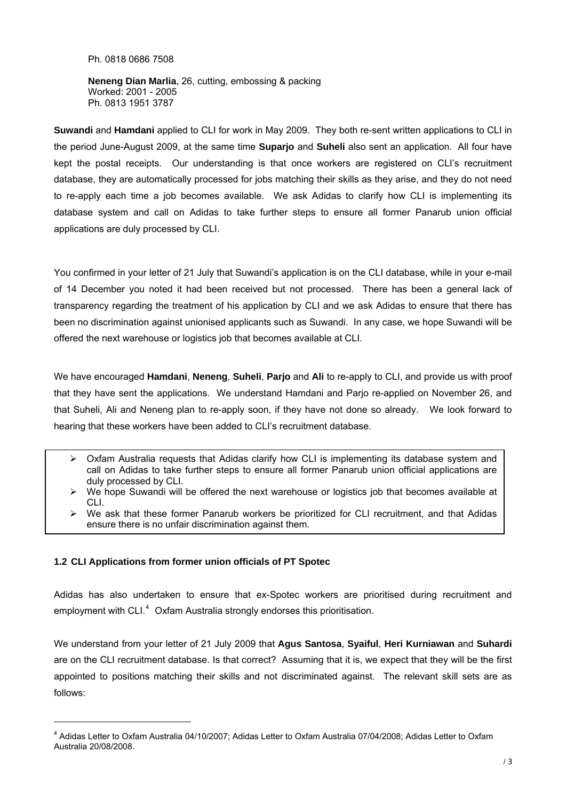Ph. 0818 0686 7508

**Neneng Dian Marlia**, 26, cutting, embossing & packing Worked: 2001 - 2005 Ph. 0813 1951 3787

**Suwandi** and **Hamdani** applied to CLI for work in May 2009. They both re-sent written applications to CLI in the period June-August 2009, at the same time **Suparjo** and **Suheli** also sent an application. All four have kept the postal receipts. Our understanding is that once workers are registered on CLI's recruitment database, they are automatically processed for jobs matching their skills as they arise, and they do not need to re-apply each time a job becomes available. We ask Adidas to clarify how CLI is implementing its database system and call on Adidas to take further steps to ensure all former Panarub union official applications are duly processed by CLI.

You confirmed in your letter of 21 July that Suwandi's application is on the CLI database, while in your e-mail of 14 December you noted it had been received but not processed. There has been a general lack of transparency regarding the treatment of his application by CLI and we ask Adidas to ensure that there has been no discrimination against unionised applicants such as Suwandi. In any case, we hope Suwandi will be offered the next warehouse or logistics job that becomes available at CLI.

We have encouraged **Hamdani**, **Neneng**, **Suheli**, **Parjo** and **Ali** to re-apply to CLI, and provide us with proof that they have sent the applications. We understand Hamdani and Parjo re-applied on November 26, and that Suheli, Ali and Neneng plan to re-apply soon, if they have not done so already. We look forward to hearing that these workers have been added to CLI's recruitment database.

- $\triangleright$  Oxfam Australia requests that Adidas clarify how CLI is implementing its database system and call on Adidas to take further steps to ensure all former Panarub union official applications are duly processed by CLI.
- $\triangleright$  We hope Suwandi will be offered the next warehouse or logistics job that becomes available at CLI.
- $\triangleright$  We ask that these former Panarub workers be prioritized for CLI recruitment, and that Adidas ensure there is no unfair discrimination against them.

## **1.2 CLI Applications from former union officials of PT Spotec**

l

Adidas has also undertaken to ensure that ex-Spotec workers are prioritised during recruitment and employment with CLI. $<sup>4</sup>$  $<sup>4</sup>$  $<sup>4</sup>$  Oxfam Australia strongly endorses this prioritisation.</sup>

We understand from your letter of 21 July 2009 that **Agus Santosa**, **Syaiful**, **Heri Kurniawan** and **Suhardi** are on the CLI recruitment database. Is that correct? Assuming that it is, we expect that they will be the first appointed to positions matching their skills and not discriminated against. The relevant skill sets are as follows:

<span id="page-2-0"></span><sup>4</sup> Adidas Letter to Oxfam Australia 04/10/2007; Adidas Letter to Oxfam Australia 07/04/2008; Adidas Letter to Oxfam Australia 20/08/2008.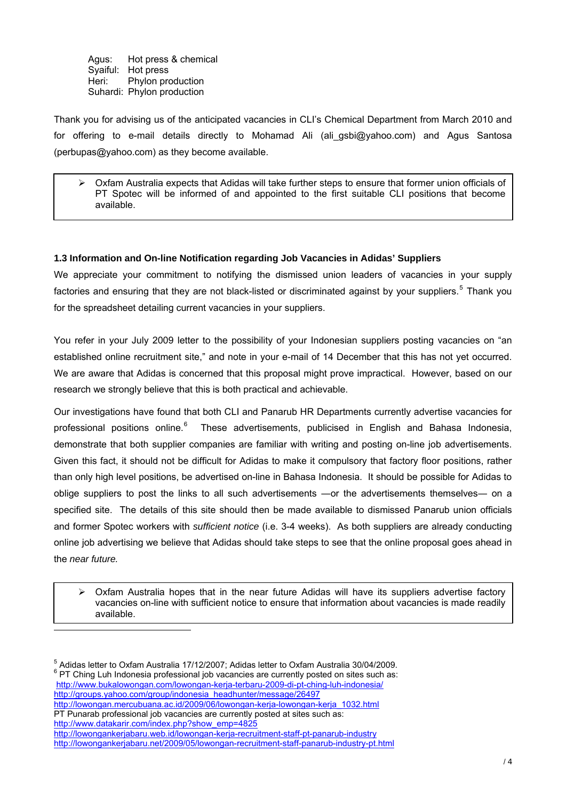Agus: Hot press & chemical Syaiful: Hot press Heri: Phylon production Suhardi: Phylon production

Thank you for advising us of the anticipated vacancies in CLI's Chemical Department from March 2010 and for offering to e-mail details directly to Mohamad Ali (ali\_gsbi@yahoo.com) and Agus Santosa (perbupas@yahoo.com) as they become available.

 $\triangleright$  Oxfam Australia expects that Adidas will take further steps to ensure that former union officials of PT Spotec will be informed of and appointed to the first suitable CLI positions that become available.

## **1.3 Information and On-line Notification regarding Job Vacancies in Adidas' Suppliers**

We appreciate your commitment to notifying the dismissed union leaders of vacancies in your supply factories and ensuring that they are not black-listed or discriminated against by your suppliers.<sup>[5](#page-3-0)</sup> Thank you for the spreadsheet detailing current vacancies in your suppliers.

You refer in your July 2009 letter to the possibility of your Indonesian suppliers posting vacancies on "an established online recruitment site," and note in your e-mail of 14 December that this has not yet occurred. We are aware that Adidas is concerned that this proposal might prove impractical. However, based on our research we strongly believe that this is both practical and achievable.

Our investigations have found that both CLI and Panarub HR Departments currently advertise vacancies for professional positions online.<sup>[6](#page-3-1)</sup> These advertisements, publicised in English and Bahasa Indonesia, demonstrate that both supplier companies are familiar with writing and posting on-line job advertisements. Given this fact, it should not be difficult for Adidas to make it compulsory that factory floor positions, rather than only high level positions, be advertised on-line in Bahasa Indonesia. It should be possible for Adidas to oblige suppliers to post the links to all such advertisements ―or the advertisements themselves― on a specified site. The details of this site should then be made available to dismissed Panarub union officials and former Spotec workers with *sufficient notice* (i.e. 3-4 weeks). As both suppliers are already conducting online job advertising we believe that Adidas should take steps to see that the online proposal goes ahead in the *near future.* 

 $\triangleright$  Oxfam Australia hopes that in the near future Adidas will have its suppliers advertise factory vacancies on-line with sufficient notice to ensure that information about vacancies is made readily available.

<span id="page-3-1"></span><span id="page-3-0"></span><sup>5</sup> Adidas letter to Oxfam Australia 17/12/2007; Adidas letter to Oxfam Australia 30/04/2009.<br><sup>6</sup> PT China Lub Indonesia prefeccional ish vecensies are aurrently peated an eiter auch esu <sup>6</sup> PT Ching Luh Indonesia professional job vacancies are currently posted on sites such as: <http://www.bukalowongan.com/lowongan-kerja-terbaru-2009-di-pt-ching-luh-indonesia/> [http://groups.yahoo.com/group/indonesia\\_headhunter/message/26497](http://groups.yahoo.com/group/indonesia_headhunter/message/26497) [http://lowongan.mercubuana.ac.id/2009/06/lowongan-kerja-lowongan-kerja\\_1032.html](http://lowongan.mercubuana.ac.id/2009/06/lowongan-kerja-lowongan-kerja_1032.html) PT Punarab professional job vacancies are currently posted at sites such as: [http://www.datakarir.com/index.php?show\\_emp=4825](http://www.datakarir.com/index.php?show_emp=4825) <http://lowongankerjabaru.web.id/lowongan-kerja-recruitment-staff-pt-panarub-industry> <http://lowongankerjabaru.net/2009/05/lowongan-recruitment-staff-panarub-industry-pt.html>

l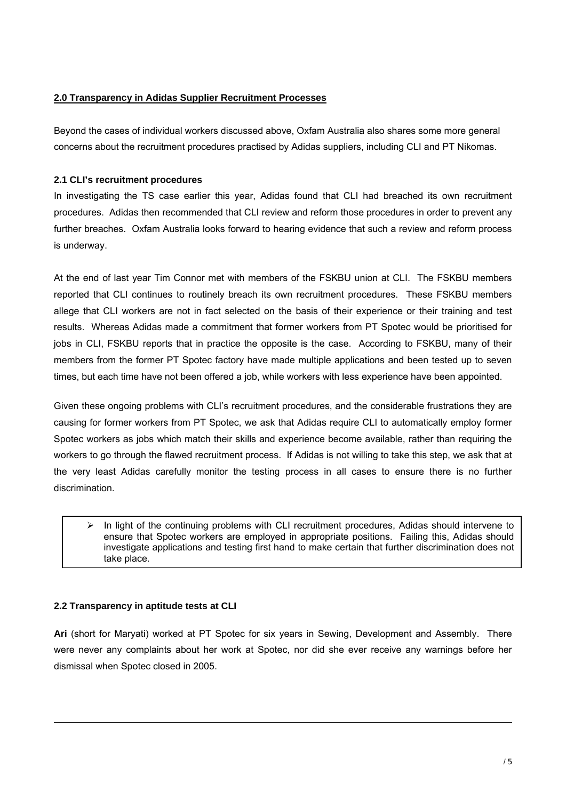# **2.0 Transparency in Adidas Supplier Recruitment Processes**

Beyond the cases of individual workers discussed above, Oxfam Australia also shares some more general concerns about the recruitment procedures practised by Adidas suppliers, including CLI and PT Nikomas.

# **2.1 CLI's recruitment procedures**

In investigating the TS case earlier this year, Adidas found that CLI had breached its own recruitment procedures. Adidas then recommended that CLI review and reform those procedures in order to prevent any further breaches. Oxfam Australia looks forward to hearing evidence that such a review and reform process is underway.

At the end of last year Tim Connor met with members of the FSKBU union at CLI. The FSKBU members reported that CLI continues to routinely breach its own recruitment procedures. These FSKBU members allege that CLI workers are not in fact selected on the basis of their experience or their training and test results. Whereas Adidas made a commitment that former workers from PT Spotec would be prioritised for jobs in CLI, FSKBU reports that in practice the opposite is the case. According to FSKBU, many of their members from the former PT Spotec factory have made multiple applications and been tested up to seven times, but each time have not been offered a job, while workers with less experience have been appointed.

Given these ongoing problems with CLI's recruitment procedures, and the considerable frustrations they are causing for former workers from PT Spotec, we ask that Adidas require CLI to automatically employ former Spotec workers as jobs which match their skills and experience become available, rather than requiring the workers to go through the flawed recruitment process. If Adidas is not willing to take this step, we ask that at the very least Adidas carefully monitor the testing process in all cases to ensure there is no further discrimination.

 $\triangleright$  In light of the continuing problems with CLI recruitment procedures. Adidas should intervene to ensure that Spotec workers are employed in appropriate positions. Failing this, Adidas should investigate applications and testing first hand to make certain that further discrimination does not take place.

## **2.2 Transparency in aptitude tests at CLI**

l

**Ari** (short for Maryati) worked at PT Spotec for six years in Sewing, Development and Assembly. There were never any complaints about her work at Spotec, nor did she ever receive any warnings before her dismissal when Spotec closed in 2005.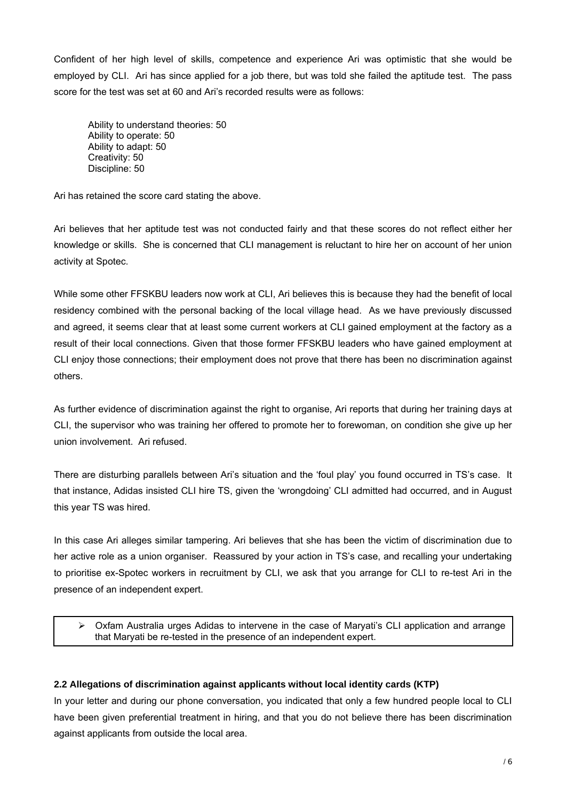Confident of her high level of skills, competence and experience Ari was optimistic that she would be employed by CLI. Ari has since applied for a job there, but was told she failed the aptitude test. The pass score for the test was set at 60 and Ari's recorded results were as follows:

 Ability to understand theories: 50 Ability to operate: 50 Ability to adapt: 50 Creativity: 50 Discipline: 50

Ari has retained the score card stating the above.

Ari believes that her aptitude test was not conducted fairly and that these scores do not reflect either her knowledge or skills. She is concerned that CLI management is reluctant to hire her on account of her union activity at Spotec.

While some other FFSKBU leaders now work at CLI, Ari believes this is because they had the benefit of local residency combined with the personal backing of the local village head. As we have previously discussed and agreed, it seems clear that at least some current workers at CLI gained employment at the factory as a result of their local connections. Given that those former FFSKBU leaders who have gained employment at CLI enjoy those connections; their employment does not prove that there has been no discrimination against others.

As further evidence of discrimination against the right to organise, Ari reports that during her training days at CLI, the supervisor who was training her offered to promote her to forewoman, on condition she give up her union involvement. Ari refused.

There are disturbing parallels between Ari's situation and the 'foul play' you found occurred in TS's case. It that instance, Adidas insisted CLI hire TS, given the 'wrongdoing' CLI admitted had occurred, and in August this year TS was hired.

In this case Ari alleges similar tampering. Ari believes that she has been the victim of discrimination due to her active role as a union organiser. Reassured by your action in TS's case, and recalling your undertaking to prioritise ex-Spotec workers in recruitment by CLI, we ask that you arrange for CLI to re-test Ari in the presence of an independent expert.

 Oxfam Australia urges Adidas to intervene in the case of Maryati's CLI application and arrange that Maryati be re-tested in the presence of an independent expert.

## **2.2 Allegations of discrimination against applicants without local identity cards (KTP)**

In your letter and during our phone conversation, you indicated that only a few hundred people local to CLI have been given preferential treatment in hiring, and that you do not believe there has been discrimination against applicants from outside the local area.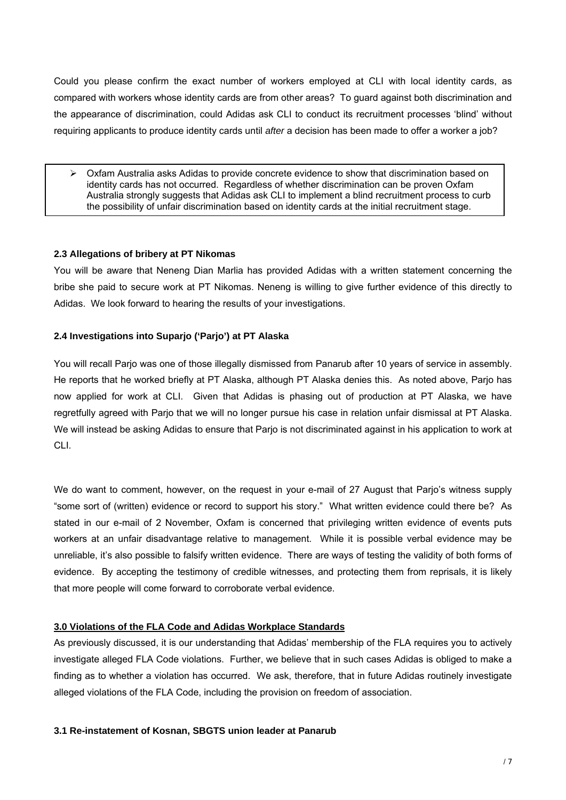Could you please confirm the exact number of workers employed at CLI with local identity cards, as compared with workers whose identity cards are from other areas? To guard against both discrimination and the appearance of discrimination, could Adidas ask CLI to conduct its recruitment processes 'blind' without requiring applicants to produce identity cards until *after* a decision has been made to offer a worker a job?

 $\triangleright$  Oxfam Australia asks Adidas to provide concrete evidence to show that discrimination based on identity cards has not occurred. Regardless of whether discrimination can be proven Oxfam Australia strongly suggests that Adidas ask CLI to implement a blind recruitment process to curb the possibility of unfair discrimination based on identity cards at the initial recruitment stage.

## **2.3 Allegations of bribery at PT Nikomas**

You will be aware that Neneng Dian Marlia has provided Adidas with a written statement concerning the bribe she paid to secure work at PT Nikomas. Neneng is willing to give further evidence of this directly to Adidas. We look forward to hearing the results of your investigations.

### **2.4 Investigations into Suparjo ('Parjo') at PT Alaska**

You will recall Parjo was one of those illegally dismissed from Panarub after 10 years of service in assembly. He reports that he worked briefly at PT Alaska, although PT Alaska denies this. As noted above, Parjo has now applied for work at CLI. Given that Adidas is phasing out of production at PT Alaska, we have regretfully agreed with Parjo that we will no longer pursue his case in relation unfair dismissal at PT Alaska. We will instead be asking Adidas to ensure that Parjo is not discriminated against in his application to work at CLI.

We do want to comment, however, on the request in your e-mail of 27 August that Parjo's witness supply "some sort of (written) evidence or record to support his story." What written evidence could there be? As stated in our e-mail of 2 November, Oxfam is concerned that privileging written evidence of events puts workers at an unfair disadvantage relative to management. While it is possible verbal evidence may be unreliable, it's also possible to falsify written evidence. There are ways of testing the validity of both forms of evidence. By accepting the testimony of credible witnesses, and protecting them from reprisals, it is likely that more people will come forward to corroborate verbal evidence.

### **3.0 Violations of the FLA Code and Adidas Workplace Standards**

As previously discussed, it is our understanding that Adidas' membership of the FLA requires you to actively investigate alleged FLA Code violations. Further, we believe that in such cases Adidas is obliged to make a finding as to whether a violation has occurred. We ask, therefore, that in future Adidas routinely investigate alleged violations of the FLA Code, including the provision on freedom of association.

### **3.1 Re-instatement of Kosnan, SBGTS union leader at Panarub**